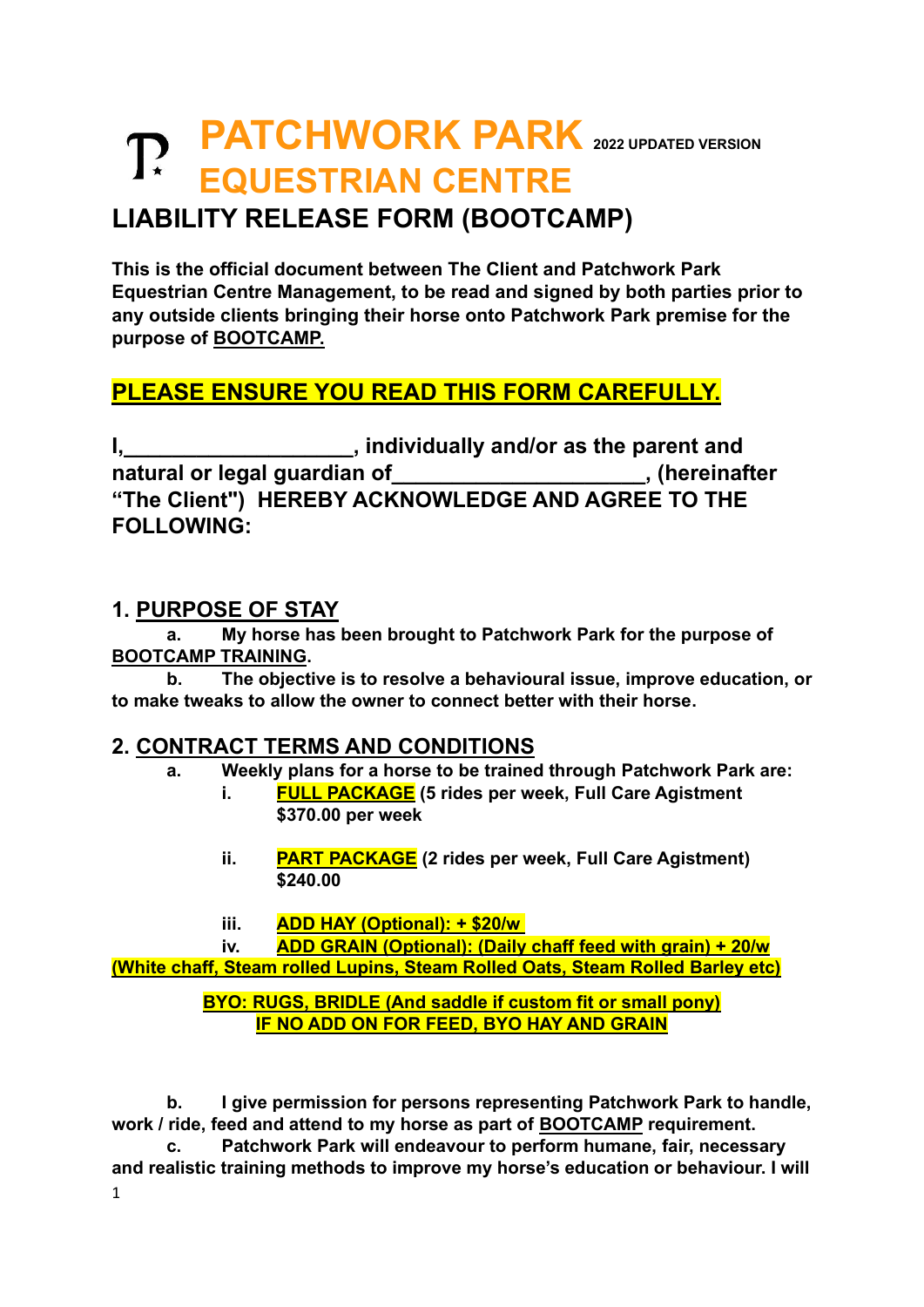# **PATCHWORK PARK <sup>2022</sup> UPDATED VERSION EQUESTRIAN CENTRE**

## **LIABILITY RELEASE FORM (BOOTCAMP)**

**This is the official document between The Client and Patchwork Park Equestrian Centre Management, to be read and signed by both parties prior to any outside clients bringing their horse onto Patchwork Park premise for the purpose of BOOTCAMP.**

## **PLEASE ENSURE YOU READ THIS FORM CAREFULLY.**

**I,\_\_\_\_\_\_\_\_\_\_\_\_\_\_\_\_\_\_\_, individually and/or as the parent and natural or legal guardian of\_\_\_\_\_\_\_\_\_\_\_\_\_\_\_\_\_\_\_\_\_, (hereinafter "The Client") HEREBY ACKNOWLEDGE AND AGREE TO THE FOLLOWING:**

#### **1. PURPOSE OF STAY**

**a. My horse has been brought to Patchwork Park for the purpose of BOOTCAMP TRAINING.**

**b. The objective is to resolve a behavioural issue, improve education, or to make tweaks to allow the owner to connect better with their horse.**

#### **2. CONTRACT TERMS AND CONDITIONS**

- **a. Weekly plans for a horse to be trained through Patchwork Park are:**
	- **i. FULL PACKAGE (5 rides per week, Full Care Agistment \$370.00 per week**
	- **ii. PART PACKAGE (2 rides per week, Full Care Agistment) \$240.00**
	- **iii. ADD HAY (Optional): + \$20/w**

**iv. ADD GRAIN (Optional): (Daily chaff feed with grain) + 20/w (White chaff, Steam rolled Lupins, Steam Rolled Oats, Steam Rolled Barley etc)**

#### **BYO: RUGS, BRIDLE (And saddle if custom fit or small pony) IF NO ADD ON FOR FEED, BYO HAY AND GRAIN**

**b. I give permission for persons representing Patchwork Park to handle, work / ride, feed and attend to my horse as part of BOOTCAMP requirement.**

1 **c. Patchwork Park will endeavour to perform humane, fair, necessary and realistic training methods to improve my horse's education or behaviour. I will**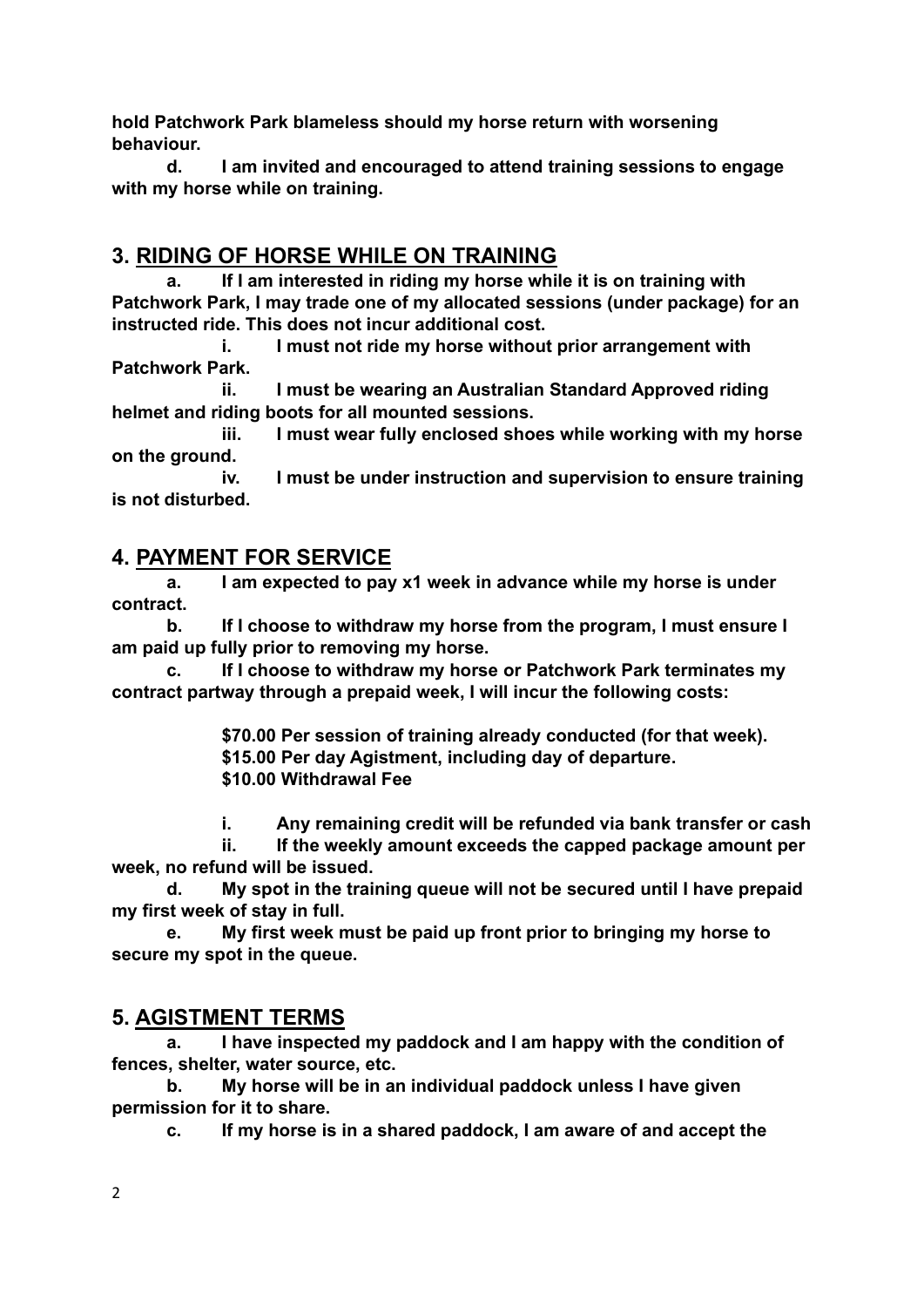**hold Patchwork Park blameless should my horse return with worsening behaviour.**

**d. I am invited and encouraged to attend training sessions to engage with my horse while on training.**

### **3. RIDING OF HORSE WHILE ON TRAINING**

**a. If I am interested in riding my horse while it is on training with Patchwork Park, I may trade one of my allocated sessions (under package) for an instructed ride. This does not incur additional cost.**

**i. I must not ride my horse without prior arrangement with Patchwork Park.**

**ii. I must be wearing an Australian Standard Approved riding helmet and riding boots for all mounted sessions.**

**iii. I must wear fully enclosed shoes while working with my horse on the ground.**

**iv. I must be under instruction and supervision to ensure training is not disturbed.**

#### **4. PAYMENT FOR SERVICE**

**a. I am expected to pay x1 week in advance while my horse is under contract.**

**b. If I choose to withdraw my horse from the program, I must ensure I am paid up fully prior to removing my horse.**

**c. If I choose to withdraw my horse or Patchwork Park terminates my contract partway through a prepaid week, I will incur the following costs:**

> **\$70.00 Per session of training already conducted (for that week). \$15.00 Per day Agistment, including day of departure. \$10.00 Withdrawal Fee**

**i. Any remaining credit will be refunded via bank transfer or cash**

**ii. If the weekly amount exceeds the capped package amount per week, no refund will be issued.**

**d. My spot in the training queue will not be secured until I have prepaid my first week of stay in full.**

**e. My first week must be paid up front prior to bringing my horse to secure my spot in the queue.** 

#### **5. AGISTMENT TERMS**

**a. I have inspected my paddock and I am happy with the condition of fences, shelter, water source, etc.**

**b. My horse will be in an individual paddock unless I have given permission for it to share.**

**c. If my horse is in a shared paddock, I am aware of and accept the**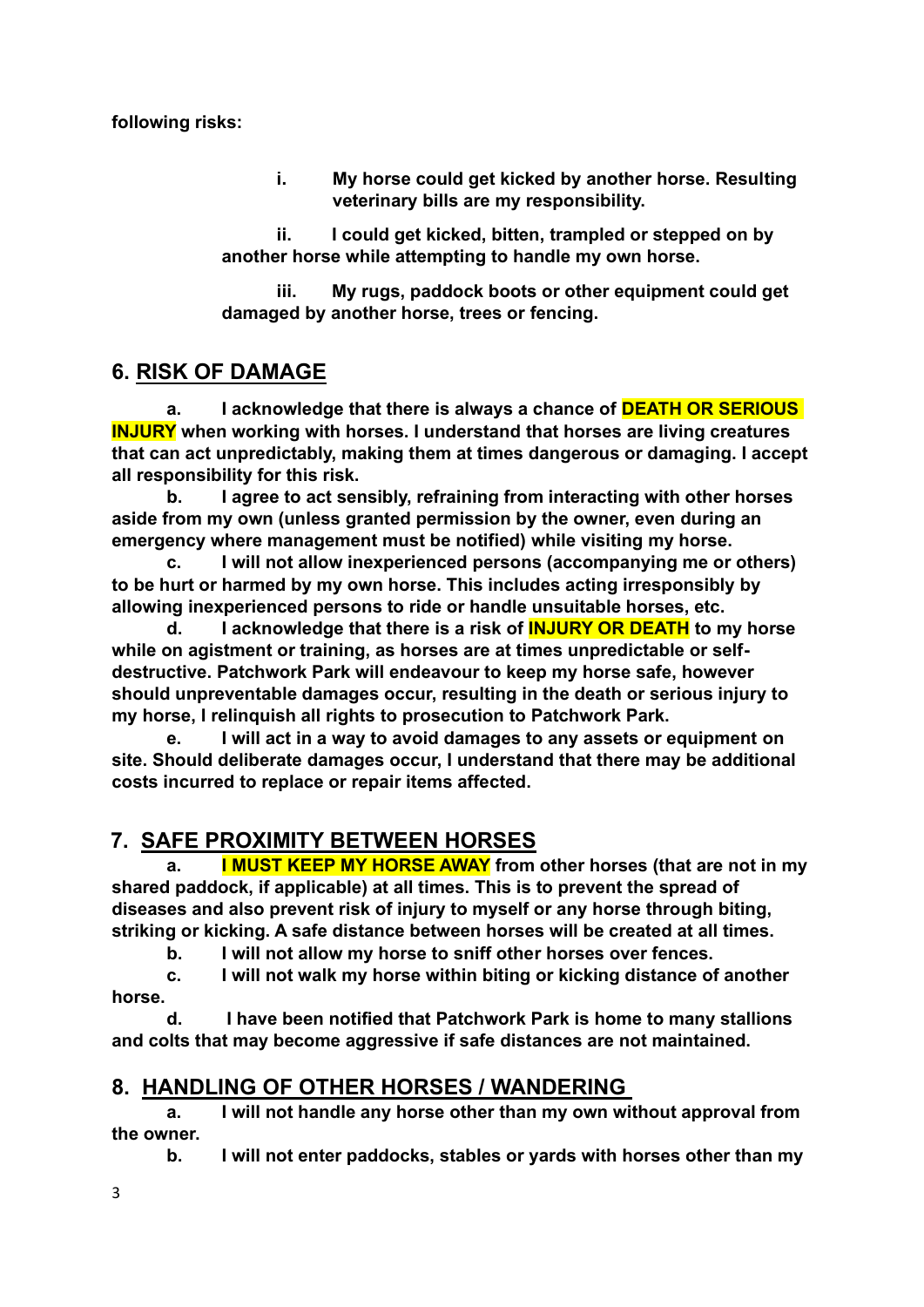**i. My horse could get kicked by another horse. Resulting veterinary bills are my responsibility.**

**ii. I could get kicked, bitten, trampled or stepped on by another horse while attempting to handle my own horse.**

**iii. My rugs, paddock boots or other equipment could get damaged by another horse, trees or fencing.**

### **6. RISK OF DAMAGE**

**a. I acknowledge that there is always a chance of DEATH OR SERIOUS INJURY when working with horses. I understand that horses are living creatures that can act unpredictably, making them at times dangerous or damaging. I accept all responsibility for this risk.**

**b. I agree to act sensibly, refraining from interacting with other horses aside from my own (unless granted permission by the owner, even during an emergency where management must be notified) while visiting my horse.** 

**c. I will not allow inexperienced persons (accompanying me or others) to be hurt or harmed by my own horse. This includes acting irresponsibly by allowing inexperienced persons to ride or handle unsuitable horses, etc.** 

**d. I acknowledge that there is a risk of INJURY OR DEATH to my horse while on agistment or training, as horses are at times unpredictable or selfdestructive. Patchwork Park will endeavour to keep my horse safe, however should unpreventable damages occur, resulting in the death or serious injury to my horse, I relinquish all rights to prosecution to Patchwork Park.**

**e. I will act in a way to avoid damages to any assets or equipment on site. Should deliberate damages occur, I understand that there may be additional costs incurred to replace or repair items affected.**

## **7. SAFE PROXIMITY BETWEEN HORSES**

**a. I MUST KEEP MY HORSE AWAY from other horses (that are not in my shared paddock, if applicable) at all times. This is to prevent the spread of diseases and also prevent risk of injury to myself or any horse through biting, striking or kicking. A safe distance between horses will be created at all times.** 

**b. I will not allow my horse to sniff other horses over fences.**

**c. I will not walk my horse within biting or kicking distance of another horse.**

**d. I have been notified that Patchwork Park is home to many stallions and colts that may become aggressive if safe distances are not maintained.**

### **8. HANDLING OF OTHER HORSES / WANDERING**

**a. I will not handle any horse other than my own without approval from the owner.**

**b. I will not enter paddocks, stables or yards with horses other than my** 

3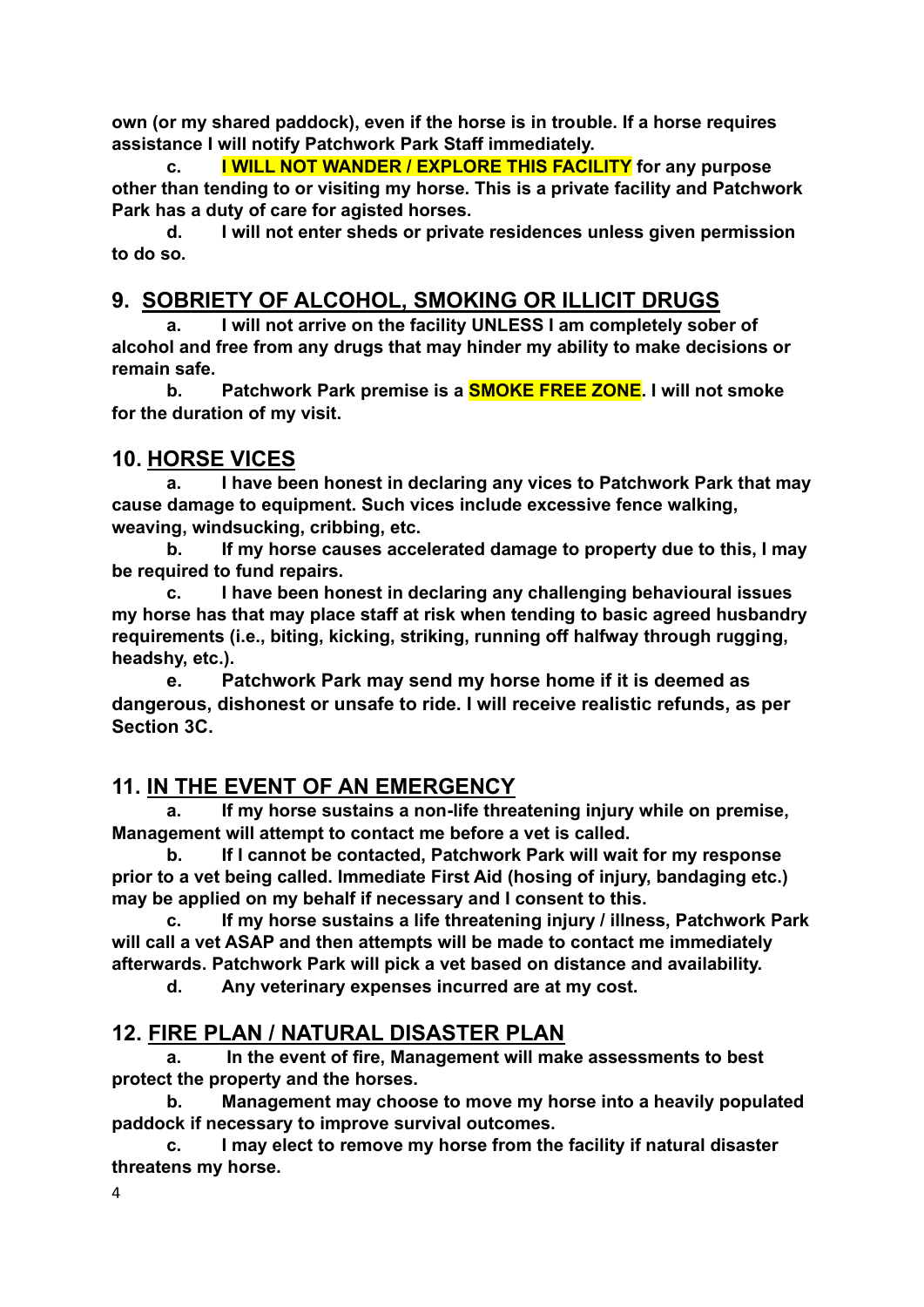**own (or my shared paddock), even if the horse is in trouble. If a horse requires assistance I will notify Patchwork Park Staff immediately.** 

**c. I WILL NOT WANDER / EXPLORE THIS FACILITY for any purpose other than tending to or visiting my horse. This is a private facility and Patchwork Park has a duty of care for agisted horses.** 

**d. I will not enter sheds or private residences unless given permission to do so.**

### **9. SOBRIETY OF ALCOHOL, SMOKING OR ILLICIT DRUGS**

**a. I will not arrive on the facility UNLESS I am completely sober of alcohol and free from any drugs that may hinder my ability to make decisions or remain safe.**

**b. Patchwork Park premise is a SMOKE FREE ZONE. I will not smoke for the duration of my visit.**

#### **10. HORSE VICES**

**a. I have been honest in declaring any vices to Patchwork Park that may cause damage to equipment. Such vices include excessive fence walking, weaving, windsucking, cribbing, etc.** 

**b. If my horse causes accelerated damage to property due to this, I may be required to fund repairs.**

**c. I have been honest in declaring any challenging behavioural issues my horse has that may place staff at risk when tending to basic agreed husbandry requirements (i.e., biting, kicking, striking, running off halfway through rugging, headshy, etc.).**

**e. Patchwork Park may send my horse home if it is deemed as dangerous, dishonest or unsafe to ride. I will receive realistic refunds, as per Section 3C.**

### **11. IN THE EVENT OF AN EMERGENCY**

**a. If my horse sustains a non-life threatening injury while on premise, Management will attempt to contact me before a vet is called.** 

**b. If I cannot be contacted, Patchwork Park will wait for my response prior to a vet being called. Immediate First Aid (hosing of injury, bandaging etc.) may be applied on my behalf if necessary and I consent to this.**

**c. If my horse sustains a life threatening injury / illness, Patchwork Park will call a vet ASAP and then attempts will be made to contact me immediately afterwards. Patchwork Park will pick a vet based on distance and availability.**

**d. Any veterinary expenses incurred are at my cost.**

#### **12. FIRE PLAN / NATURAL DISASTER PLAN**

**a. In the event of fire, Management will make assessments to best protect the property and the horses.**

**b. Management may choose to move my horse into a heavily populated paddock if necessary to improve survival outcomes.**

**c. I may elect to remove my horse from the facility if natural disaster threatens my horse.**

4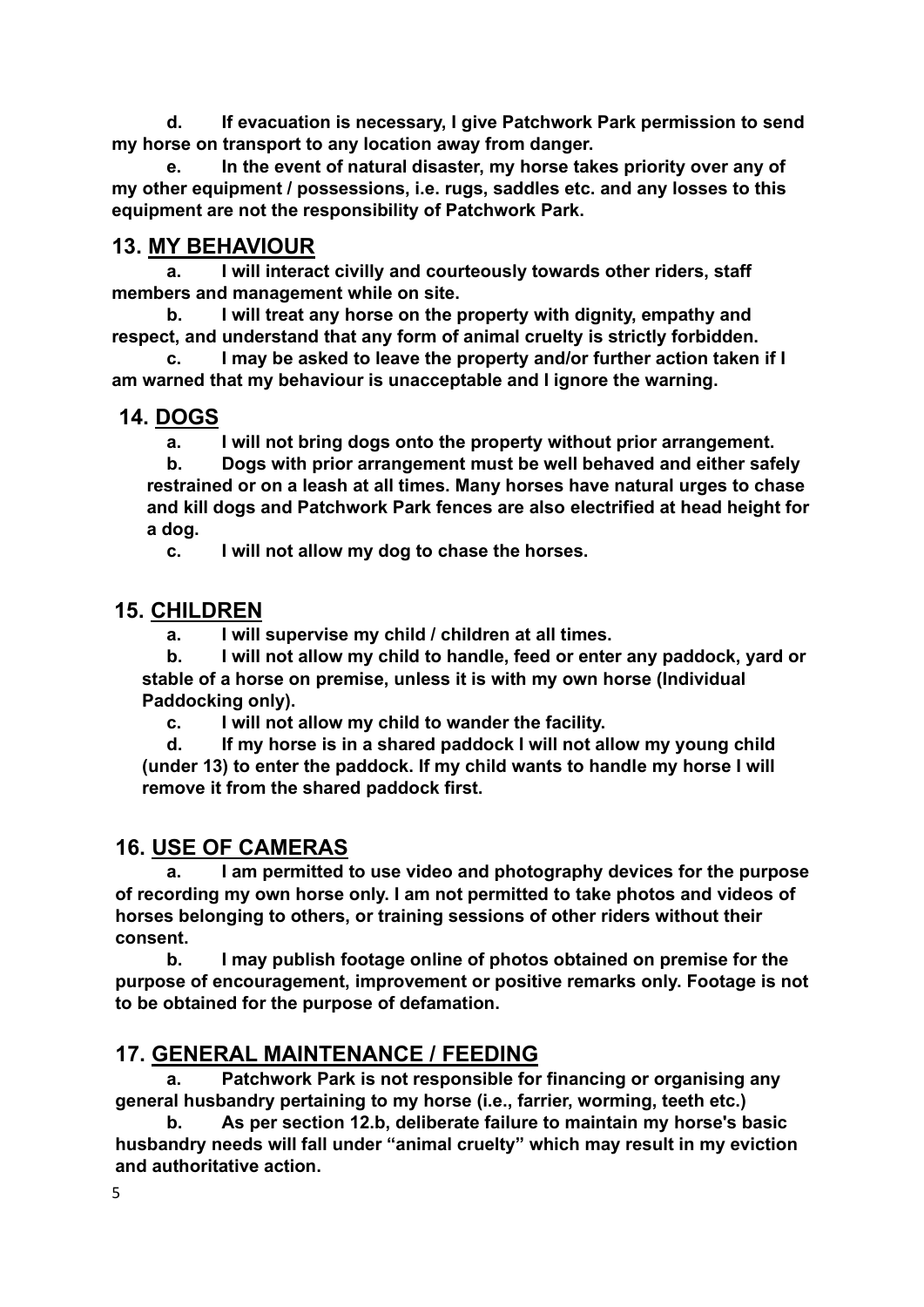**d. If evacuation is necessary, I give Patchwork Park permission to send my horse on transport to any location away from danger.**

**e. In the event of natural disaster, my horse takes priority over any of my other equipment / possessions, i.e. rugs, saddles etc. and any losses to this equipment are not the responsibility of Patchwork Park.**

### **13. MY BEHAVIOUR**

**a. I will interact civilly and courteously towards other riders, staff members and management while on site.** 

**b. I will treat any horse on the property with dignity, empathy and respect, and understand that any form of animal cruelty is strictly forbidden.** 

**c. I may be asked to leave the property and/or further action taken if I am warned that my behaviour is unacceptable and I ignore the warning.**

#### **14. DOGS**

**a. I will not bring dogs onto the property without prior arrangement.**

**b. Dogs with prior arrangement must be well behaved and either safely restrained or on a leash at all times. Many horses have natural urges to chase and kill dogs and Patchwork Park fences are also electrified at head height for a dog.** 

**c. I will not allow my dog to chase the horses.**

## **15. CHILDREN**

**a. I will supervise my child / children at all times.**

**b. I will not allow my child to handle, feed or enter any paddock, yard or stable of a horse on premise, unless it is with my own horse (Individual Paddocking only).**

**c. I will not allow my child to wander the facility.**

**d. If my horse is in a shared paddock I will not allow my young child (under 13) to enter the paddock. If my child wants to handle my horse I will remove it from the shared paddock first.**

## **16. USE OF CAMERAS**

**a. I am permitted to use video and photography devices for the purpose of recording my own horse only. I am not permitted to take photos and videos of horses belonging to others, or training sessions of other riders without their consent.**

**b. I may publish footage online of photos obtained on premise for the purpose of encouragement, improvement or positive remarks only. Footage is not to be obtained for the purpose of defamation.**

## **17. GENERAL MAINTENANCE / FEEDING**

**a. Patchwork Park is not responsible for financing or organising any general husbandry pertaining to my horse (i.e., farrier, worming, teeth etc.)**

**b. As per section 12.b, deliberate failure to maintain my horse's basic husbandry needs will fall under "animal cruelty" which may result in my eviction and authoritative action.**

5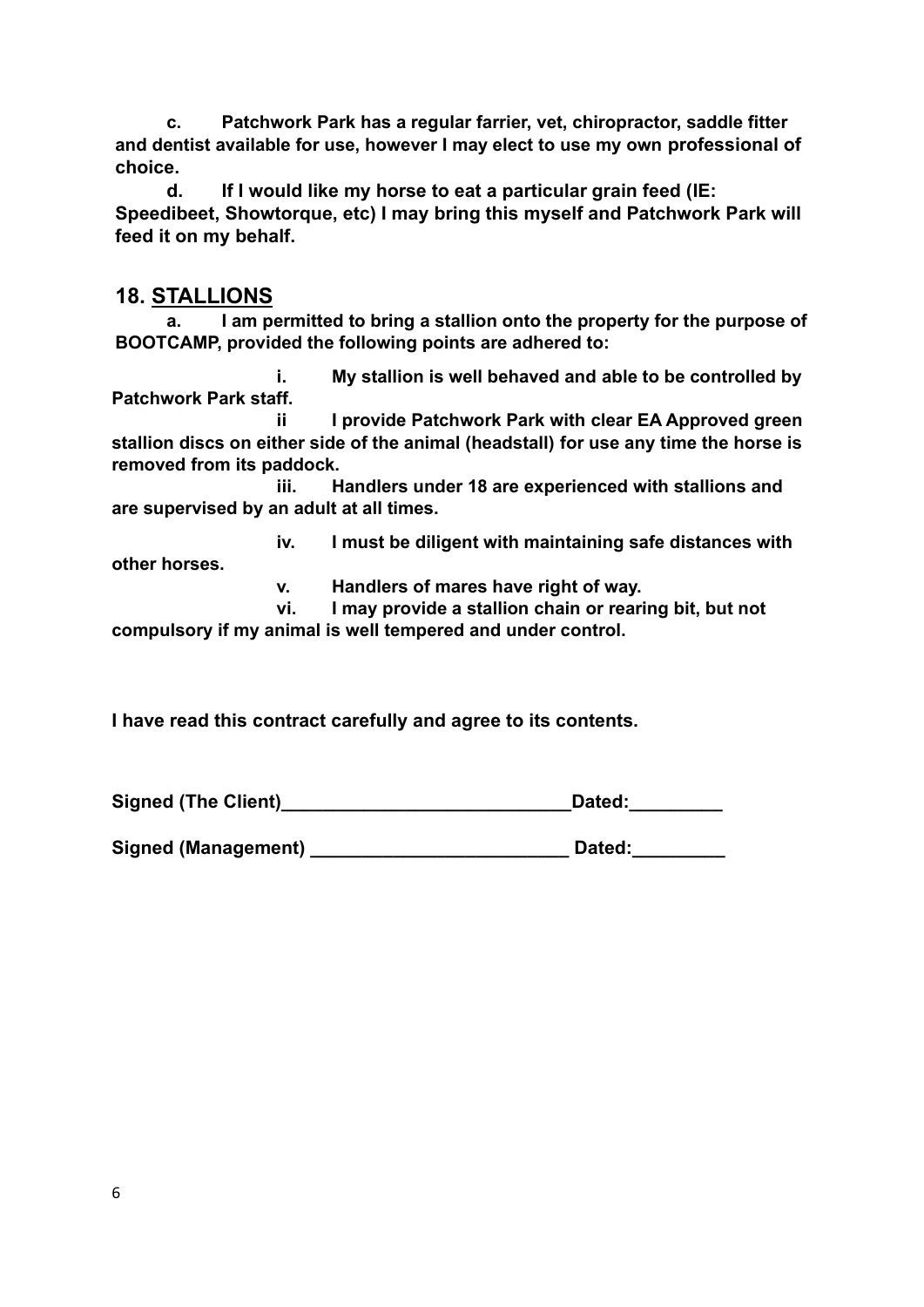**c. Patchwork Park has a regular farrier, vet, chiropractor, saddle fitter and dentist available for use, however I may elect to use my own professional of choice.**

**d. If I would like my horse to eat a particular grain feed (IE: Speedibeet, Showtorque, etc) I may bring this myself and Patchwork Park will feed it on my behalf.**

#### **18. STALLIONS**

**a. I am permitted to bring a stallion onto the property for the purpose of BOOTCAMP, provided the following points are adhered to:**

**i. My stallion is well behaved and able to be controlled by Patchwork Park staff.**

**ii I provide Patchwork Park with clear EA Approved green stallion discs on either side of the animal (headstall) for use any time the horse is removed from its paddock.**

**iii. Handlers under 18 are experienced with stallions and are supervised by an adult at all times.**

**iv. I must be diligent with maintaining safe distances with** 

**other horses.**

**v. Handlers of mares have right of way.**

**vi. I may provide a stallion chain or rearing bit, but not compulsory if my animal is well tempered and under control.**

**I have read this contract carefully and agree to its contents.**

**Signed (The Client)\_\_\_\_\_\_\_\_\_\_\_\_\_\_\_\_\_\_\_\_\_\_\_\_\_\_\_\_Dated:\_\_\_\_\_\_\_\_\_**

Signed (Management) **Dated:**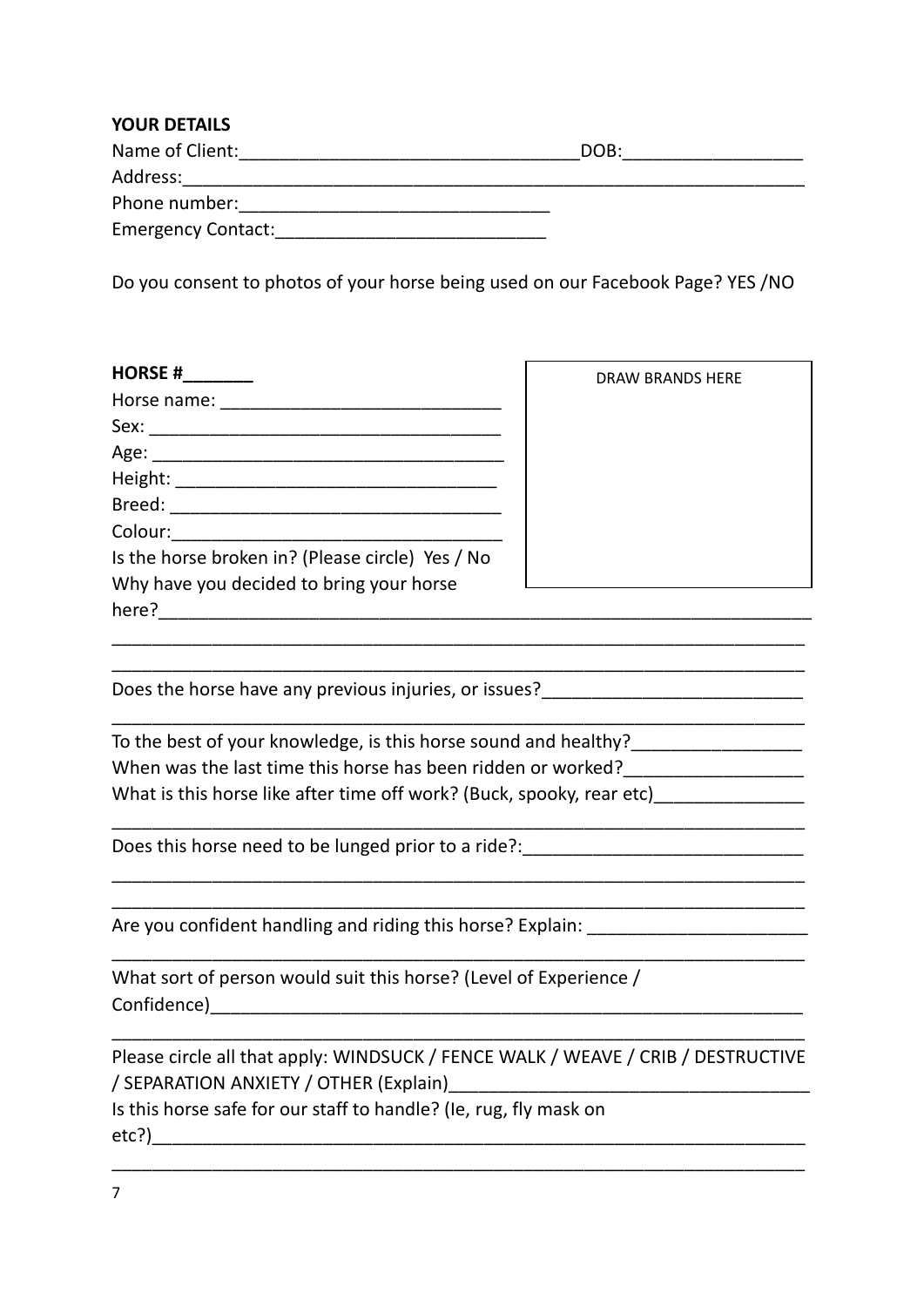| <b>YOUR DETAILS</b>       |      |
|---------------------------|------|
| Name of Client:           | DOB: |
| Address:                  |      |
| Phone number:             |      |
| <b>Emergency Contact:</b> |      |

Do you consent to photos of your horse being used on our Facebook Page? YES /NO

| <b>HORSE#</b>                                    | <b>DRAW BRANDS HERE</b> |
|--------------------------------------------------|-------------------------|
| Horse name:                                      |                         |
| Sex:                                             |                         |
|                                                  |                         |
|                                                  |                         |
|                                                  |                         |
| Colour:                                          |                         |
| Is the horse broken in? (Please circle) Yes / No |                         |
| Why have you decided to bring your horse         |                         |
| here?                                            |                         |
|                                                  |                         |

\_\_\_\_\_\_\_\_\_\_\_\_\_\_\_\_\_\_\_\_\_\_\_\_\_\_\_\_\_\_\_\_\_\_\_\_\_\_\_\_\_\_\_\_\_\_\_\_\_\_\_\_\_\_\_\_\_\_\_\_\_\_\_\_\_\_\_\_\_

\_\_\_\_\_\_\_\_\_\_\_\_\_\_\_\_\_\_\_\_\_\_\_\_\_\_\_\_\_\_\_\_\_\_\_\_\_\_\_\_\_\_\_\_\_\_\_\_\_\_\_\_\_\_\_\_\_\_\_\_\_\_\_\_\_\_\_\_\_

 $\mathcal{L}_\text{max}$ 

\_\_\_\_\_\_\_\_\_\_\_\_\_\_\_\_\_\_\_\_\_\_\_\_\_\_\_\_\_\_\_\_\_\_\_\_\_\_\_\_\_\_\_\_\_\_\_\_\_\_\_\_\_\_\_\_\_\_\_\_\_\_\_\_\_\_\_\_\_

\_\_\_\_\_\_\_\_\_\_\_\_\_\_\_\_\_\_\_\_\_\_\_\_\_\_\_\_\_\_\_\_\_\_\_\_\_\_\_\_\_\_\_\_\_\_\_\_\_\_\_\_\_\_\_\_\_\_\_\_\_\_\_\_\_\_\_\_\_

\_\_\_\_\_\_\_\_\_\_\_\_\_\_\_\_\_\_\_\_\_\_\_\_\_\_\_\_\_\_\_\_\_\_\_\_\_\_\_\_\_\_\_\_\_\_\_\_\_\_\_\_\_\_\_\_\_\_\_\_\_\_\_\_\_\_\_\_\_

Does the horse have any previous injuries, or issues?

| To the best of your knowledge, is this horse sound and healthy?       |  |
|-----------------------------------------------------------------------|--|
| When was the last time this horse has been ridden or worked?          |  |
| What is this horse like after time off work? (Buck, spooky, rear etc) |  |

Does this horse need to be lunged prior to a ride?: \_\_\_\_\_\_\_\_\_\_\_\_\_\_\_\_\_\_\_\_\_\_\_\_\_\_\_\_

Are you confident handling and riding this horse? Explain: \_\_\_\_\_\_\_\_\_\_\_\_\_\_\_\_\_\_\_\_\_\_

| What sort of person would suit this horse? (Level of Experience / |  |
|-------------------------------------------------------------------|--|
| Confidence)                                                       |  |

| Please circle all that apply: WINDSUCK / FENCE WALK / WEAVE / CRIB / DESTRUCTIVE |  |
|----------------------------------------------------------------------------------|--|
| / SEPARATION ANXIETY / OTHER (Explain)                                           |  |

\_\_\_\_\_\_\_\_\_\_\_\_\_\_\_\_\_\_\_\_\_\_\_\_\_\_\_\_\_\_\_\_\_\_\_\_\_\_\_\_\_\_\_\_\_\_\_\_\_\_\_\_\_\_\_\_\_\_\_\_\_\_\_\_\_\_\_\_\_

Is this horse safe for our staff to handle? (Ie, rug, fly mask on etc?)\_\_\_\_\_\_\_\_\_\_\_\_\_\_\_\_\_\_\_\_\_\_\_\_\_\_\_\_\_\_\_\_\_\_\_\_\_\_\_\_\_\_\_\_\_\_\_\_\_\_\_\_\_\_\_\_\_\_\_\_\_\_\_\_\_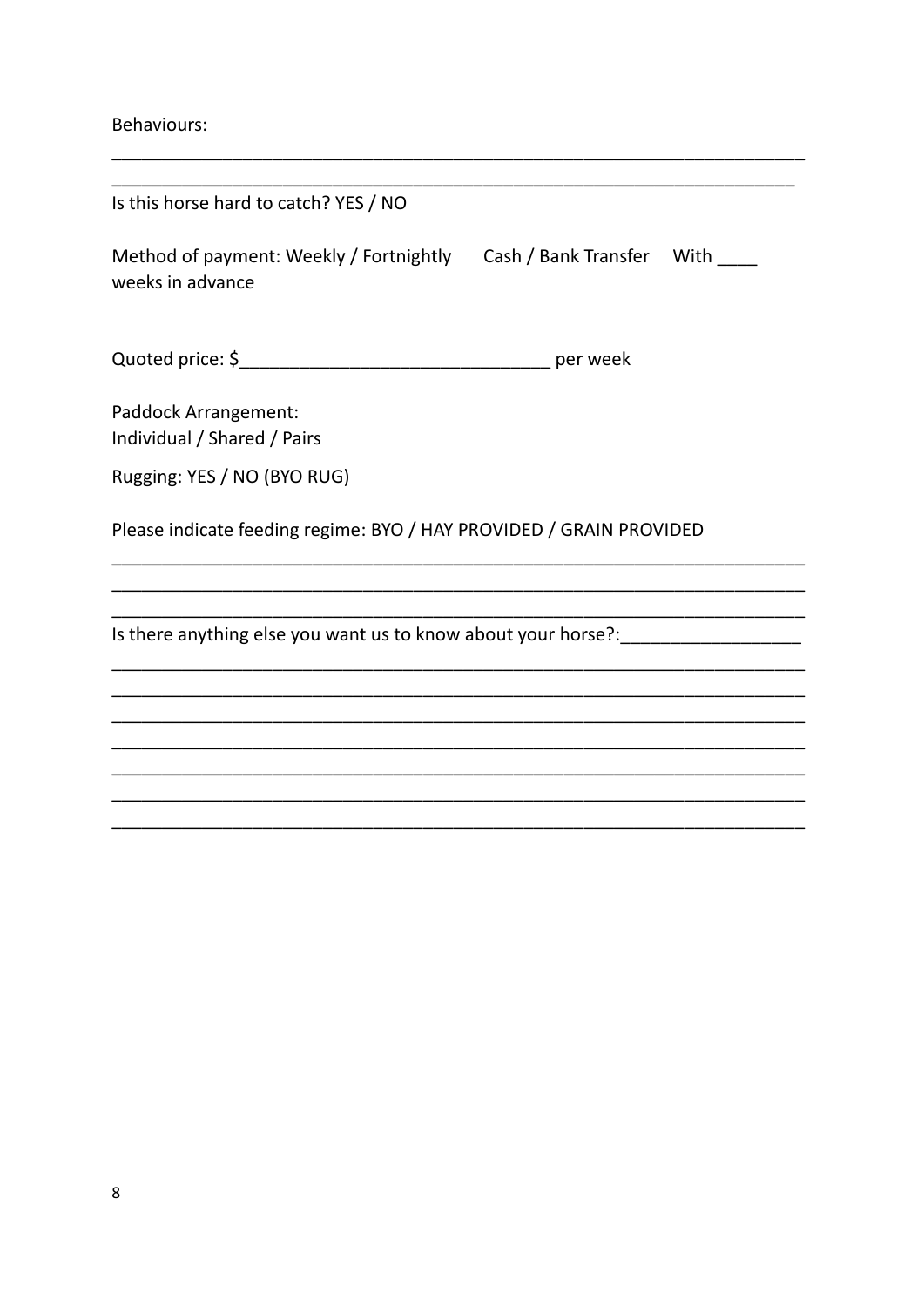Behaviours:

| Is this horse hard to catch? YES / NO                                                      |          |  |
|--------------------------------------------------------------------------------------------|----------|--|
| Method of payment: Weekly / Fortnightly Cash / Bank Transfer With ____<br>weeks in advance |          |  |
|                                                                                            | per week |  |
| Paddock Arrangement:<br>Individual / Shared / Pairs                                        |          |  |
| Rugging: YES / NO (BYO RUG)                                                                |          |  |
| Please indicate feeding regime: BYO / HAY PROVIDED / GRAIN PROVIDED                        |          |  |
| Is there anything else you want us to know about your horse?:                              |          |  |
|                                                                                            |          |  |
|                                                                                            |          |  |
|                                                                                            |          |  |